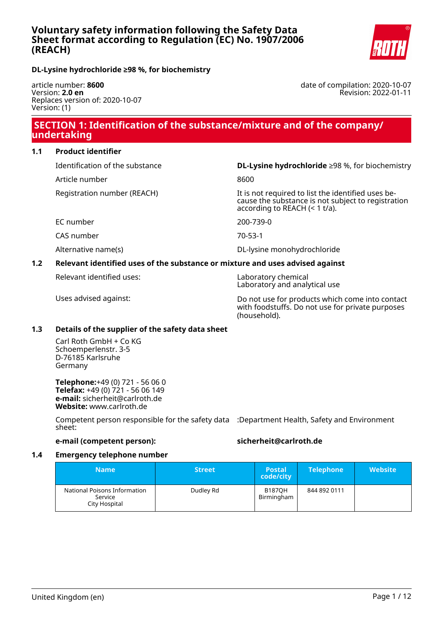

date of compilation: 2020-10-07

Revision: 2022-01-11

### **DL-Lysine hydrochloride ≥98 %, for biochemistry**

article number: **8600** Version: **2.0 en** Replaces version of: 2020-10-07 Version: (1)

# **SECTION 1: Identification of the substance/mixture and of the company/ undertaking**

### **1.1 Product identifier**

Identification of the substance **DL-Lysine hydrochloride** ≥98 %, for biochemistry

Article number 8600

Registration number (REACH) The state of the identified uses be-

EC number 200-739-0

CAS number 70-53-1

Alternative name(s) and the control of the DL-lysine monohydrochloride in the particle in the DL-lysine monohydrochloride

### **1.2 Relevant identified uses of the substance or mixture and uses advised against**

Relevant identified uses: Laboratory chemical

Laboratory and analytical use

according to REACH (< 1 t/a).

Uses advised against: Do not use for products which come into contact with foodstuffs. Do not use for private purposes (household).

cause the substance is not subject to registration

### **1.3 Details of the supplier of the safety data sheet**

Carl Roth GmbH + Co KG Schoemperlenstr. 3-5 D-76185 Karlsruhe Germany

**Telephone:**+49 (0) 721 - 56 06 0 **Telefax:** +49 (0) 721 - 56 06 149 **e-mail:** sicherheit@carlroth.de **Website:** www.carlroth.de

Competent person responsible for the safety data :Department Health, Safety and Environment sheet:

### **e-mail (competent person): sicherheit@carlroth.de**

### **1.4 Emergency telephone number**

| <b>Name</b>                                              | <b>Street</b> | <b>Postal</b><br>code/city  | <b>Telephone</b> | <b>Website</b> |
|----------------------------------------------------------|---------------|-----------------------------|------------------|----------------|
| National Poisons Information<br>Service<br>City Hospital | Dudley Rd     | <b>B187OH</b><br>Birmingham | 844 892 0111     |                |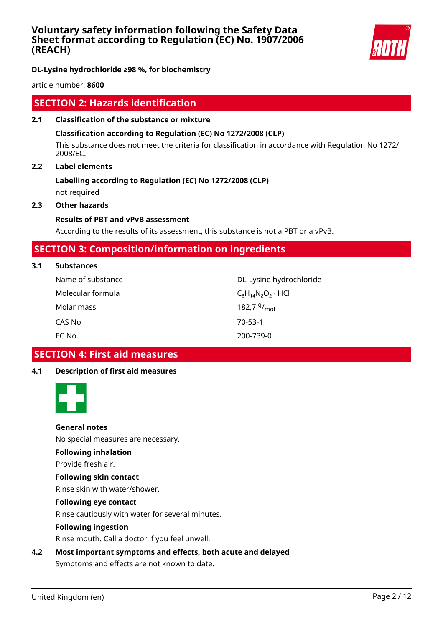

**DL-Lysine hydrochloride ≥98 %, for biochemistry**

article number: **8600**

# **SECTION 2: Hazards identification**

**2.1 Classification of the substance or mixture**

### **Classification according to Regulation (EC) No 1272/2008 (CLP)**

This substance does not meet the criteria for classification in accordance with Regulation No 1272/ 2008/EC.

### **2.2 Label elements**

# **Labelling according to Regulation (EC) No 1272/2008 (CLP)**

not required

### **2.3 Other hazards**

### **Results of PBT and vPvB assessment**

According to the results of its assessment, this substance is not a PBT or a vPvB.

# **SECTION 3: Composition/information on ingredients**

**3.1 Substances**

| Name of substance | DL-Lysine hydrochloride     |
|-------------------|-----------------------------|
| Molecular formula | $C_6H_{14}N_2O_2 \cdot HCl$ |
| Molar mass        | 182,7 $9/_{\text{mol}}$     |
| CAS No            | $70 - 53 - 1$               |
| EC No             | 200-739-0                   |

# **SECTION 4: First aid measures**

### **4.1 Description of first aid measures**



### **General notes**

No special measures are necessary.

### **Following inhalation**

Provide fresh air.

# **Following skin contact**

Rinse skin with water/shower.

### **Following eye contact**

Rinse cautiously with water for several minutes.

### **Following ingestion**

Rinse mouth. Call a doctor if you feel unwell.

### **4.2 Most important symptoms and effects, both acute and delayed**

Symptoms and effects are not known to date.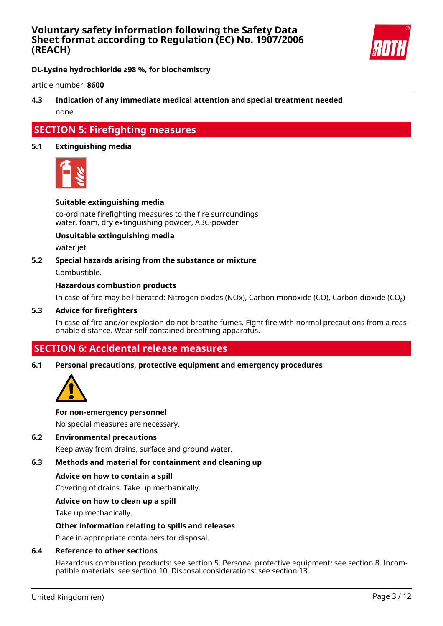

**DL-Lysine hydrochloride ≥98 %, for biochemistry**

article number: **8600**

### **4.3 Indication of any immediate medical attention and special treatment needed** none

# **SECTION 5: Firefighting measures**

### **5.1 Extinguishing media**



### **Suitable extinguishing media**

co-ordinate firefighting measures to the fire surroundings water, foam, dry extinguishing powder, ABC-powder

### **Unsuitable extinguishing media**

water jet

### **5.2 Special hazards arising from the substance or mixture**

Combustible.

### **Hazardous combustion products**

In case of fire may be liberated: Nitrogen oxides (NOx), Carbon monoxide (CO), Carbon dioxide (CO₂)

#### **5.3 Advice for firefighters**

In case of fire and/or explosion do not breathe fumes. Fight fire with normal precautions from a reasonable distance. Wear self-contained breathing apparatus.

# **SECTION 6: Accidental release measures**

#### **6.1 Personal precautions, protective equipment and emergency procedures**



#### **For non-emergency personnel**

No special measures are necessary.

### **6.2 Environmental precautions**

Keep away from drains, surface and ground water.

### **6.3 Methods and material for containment and cleaning up**

#### **Advice on how to contain a spill**

Covering of drains. Take up mechanically.

### **Advice on how to clean up a spill**

Take up mechanically.

### **Other information relating to spills and releases**

Place in appropriate containers for disposal.

#### **6.4 Reference to other sections**

Hazardous combustion products: see section 5. Personal protective equipment: see section 8. Incompatible materials: see section 10. Disposal considerations: see section 13.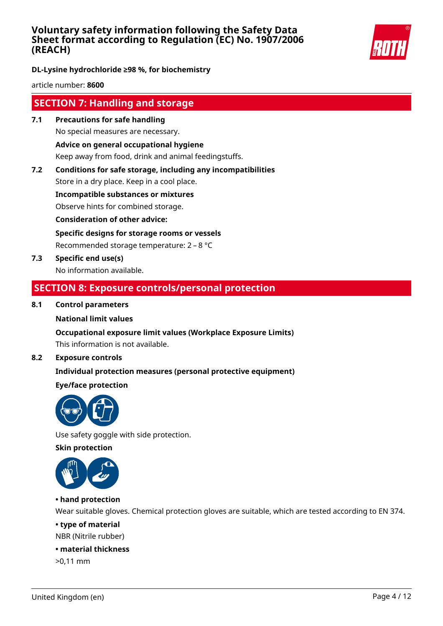

**DL-Lysine hydrochloride ≥98 %, for biochemistry**

article number: **8600**

# **SECTION 7: Handling and storage**

- **7.1 Precautions for safe handling** No special measures are necessary. **Advice on general occupational hygiene** Keep away from food, drink and animal feedingstuffs.
- **7.2 Conditions for safe storage, including any incompatibilities**

Store in a dry place. Keep in a cool place.

**Incompatible substances or mixtures**

Observe hints for combined storage.

**Consideration of other advice:**

**Specific designs for storage rooms or vessels**

Recommended storage temperature: 2 – 8 °C

**7.3 Specific end use(s)** No information available.

# **SECTION 8: Exposure controls/personal protection**

### **8.1 Control parameters**

### **National limit values**

### **Occupational exposure limit values (Workplace Exposure Limits)**

This information is not available.

### **8.2 Exposure controls**

### **Individual protection measures (personal protective equipment)**

### **Eye/face protection**



Use safety goggle with side protection.

**Skin protection**



### **• hand protection**

Wear suitable gloves. Chemical protection gloves are suitable, which are tested according to EN 374.

### **• type of material**

NBR (Nitrile rubber)

### **• material thickness**

>0,11 mm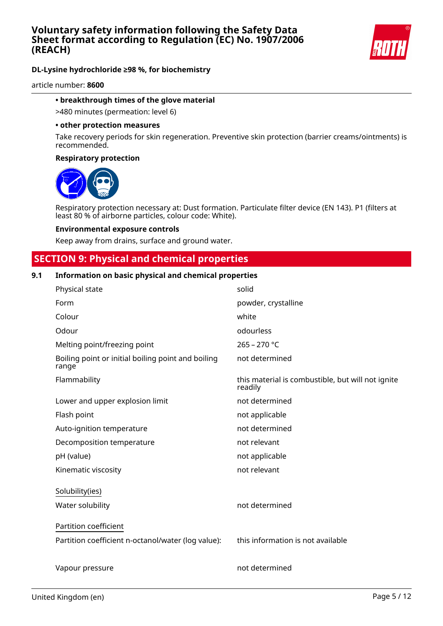

### **DL-Lysine hydrochloride ≥98 %, for biochemistry**

article number: **8600**

### **• breakthrough times of the glove material**

>480 minutes (permeation: level 6)

#### **• other protection measures**

Take recovery periods for skin regeneration. Preventive skin protection (barrier creams/ointments) is recommended.

#### **Respiratory protection**



Respiratory protection necessary at: Dust formation. Particulate filter device (EN 143). P1 (filters at least 80 % of airborne particles, colour code: White).

#### **Environmental exposure controls**

Keep away from drains, surface and ground water.

## **SECTION 9: Physical and chemical properties**

### **9.1 Information on basic physical and chemical properties**

| Physical state                                              | solid                                                        |
|-------------------------------------------------------------|--------------------------------------------------------------|
| Form                                                        | powder, crystalline                                          |
| Colour                                                      | white                                                        |
| Odour                                                       | odourless                                                    |
| Melting point/freezing point                                | $265 - 270$ °C                                               |
| Boiling point or initial boiling point and boiling<br>range | not determined                                               |
| Flammability                                                | this material is combustible, but will not ignite<br>readily |
| Lower and upper explosion limit                             | not determined                                               |
| Flash point                                                 | not applicable                                               |
| Auto-ignition temperature                                   | not determined                                               |
| Decomposition temperature                                   | not relevant                                                 |
| pH (value)                                                  | not applicable                                               |
| Kinematic viscosity                                         | not relevant                                                 |
| Solubility(ies)                                             |                                                              |
| Water solubility                                            | not determined                                               |
| Partition coefficient                                       |                                                              |
| Partition coefficient n-octanol/water (log value):          | this information is not available                            |
| Vapour pressure                                             | not determined                                               |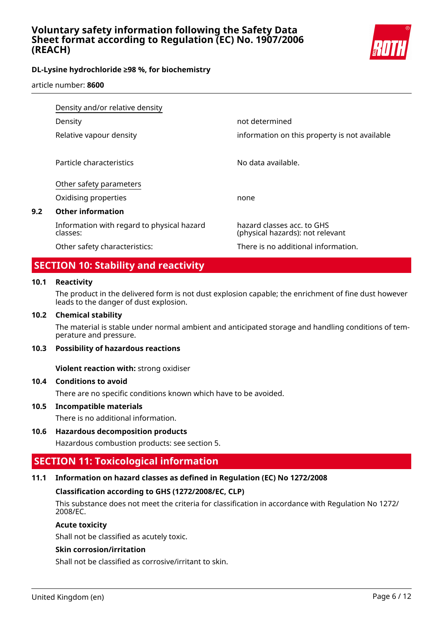

### **DL-Lysine hydrochloride ≥98 %, for biochemistry**

article number: **8600**

|     | Density and/or relative density                        |                                                                |
|-----|--------------------------------------------------------|----------------------------------------------------------------|
|     | Density                                                | not determined                                                 |
|     | Relative vapour density                                | information on this property is not available                  |
|     | Particle characteristics                               | No data available.                                             |
|     | Other safety parameters                                |                                                                |
|     | Oxidising properties                                   | none                                                           |
| 9.2 | <b>Other information</b>                               |                                                                |
|     | Information with regard to physical hazard<br>classes: | hazard classes acc. to GHS<br>(physical hazards): not relevant |
|     | Other safety characteristics:                          | There is no additional information.                            |

# **SECTION 10: Stability and reactivity**

### **10.1 Reactivity**

The product in the delivered form is not dust explosion capable; the enrichment of fine dust however leads to the danger of dust explosion.

### **10.2 Chemical stability**

The material is stable under normal ambient and anticipated storage and handling conditions of temperature and pressure.

### **10.3 Possibility of hazardous reactions**

**Violent reaction with:** strong oxidiser

### **10.4 Conditions to avoid**

There are no specific conditions known which have to be avoided.

### **10.5 Incompatible materials**

There is no additional information.

### **10.6 Hazardous decomposition products**

Hazardous combustion products: see section 5.

# **SECTION 11: Toxicological information**

### **11.1 Information on hazard classes as defined in Regulation (EC) No 1272/2008**

### **Classification according to GHS (1272/2008/EC, CLP)**

This substance does not meet the criteria for classification in accordance with Regulation No 1272/ 2008/EC.

### **Acute toxicity**

Shall not be classified as acutely toxic.

### **Skin corrosion/irritation**

Shall not be classified as corrosive/irritant to skin.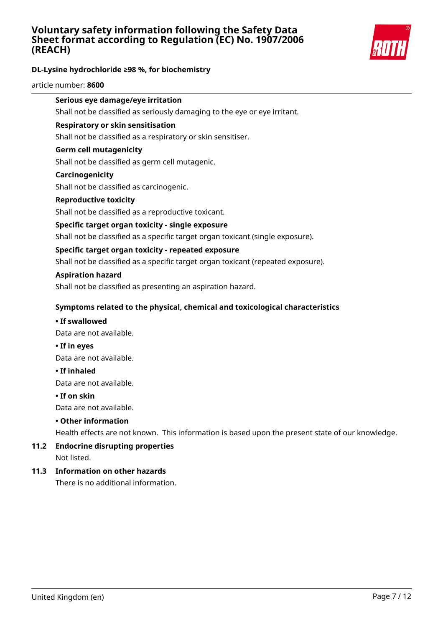

### **DL-Lysine hydrochloride ≥98 %, for biochemistry**

article number: **8600**

# **Serious eye damage/eye irritation**

Shall not be classified as seriously damaging to the eye or eye irritant.

### **Respiratory or skin sensitisation**

Shall not be classified as a respiratory or skin sensitiser.

### **Germ cell mutagenicity**

Shall not be classified as germ cell mutagenic.

### **Carcinogenicity**

Shall not be classified as carcinogenic.

### **Reproductive toxicity**

Shall not be classified as a reproductive toxicant.

### **Specific target organ toxicity - single exposure**

Shall not be classified as a specific target organ toxicant (single exposure).

### **Specific target organ toxicity - repeated exposure**

Shall not be classified as a specific target organ toxicant (repeated exposure).

### **Aspiration hazard**

Shall not be classified as presenting an aspiration hazard.

### **Symptoms related to the physical, chemical and toxicological characteristics**

### **• If swallowed**

Data are not available.

**• If in eyes**

Data are not available.

### **• If inhaled**

Data are not available.

### **• If on skin**

Data are not available.

### **• Other information**

Health effects are not known. This information is based upon the present state of our knowledge.

# **11.2 Endocrine disrupting properties**

Not listed.

### **11.3 Information on other hazards**

There is no additional information.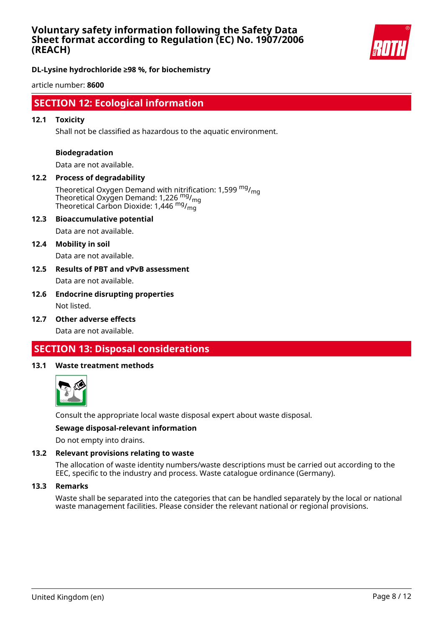

**DL-Lysine hydrochloride ≥98 %, for biochemistry**

article number: **8600**

# **SECTION 12: Ecological information**

### **12.1 Toxicity**

Shall not be classified as hazardous to the aquatic environment.

### **Biodegradation**

Data are not available.

### **12.2 Process of degradability**

Theoretical Oxygen Demand with nitrification: 1,599  $mg/m<sub>on</sub>$ Theoretical Oxygen Demand: 1,226 mg/<sub>mg</sub> Theoretical Carbon Dioxide:  $1,446$ <sup>mg</sup>/<sub>mg</sub>

#### **12.3 Bioaccumulative potential**

Data are not available.

#### **12.4 Mobility in soil**

Data are not available.

### **12.5 Results of PBT and vPvB assessment** Data are not available.

### **12.6 Endocrine disrupting properties** Not listed.

**12.7 Other adverse effects**

Data are not available.

# **SECTION 13: Disposal considerations**

#### **13.1 Waste treatment methods**



Consult the appropriate local waste disposal expert about waste disposal.

### **Sewage disposal-relevant information**

Do not empty into drains.

### **13.2 Relevant provisions relating to waste**

The allocation of waste identity numbers/waste descriptions must be carried out according to the EEC, specific to the industry and process. Waste catalogue ordinance (Germany).

#### **13.3 Remarks**

Waste shall be separated into the categories that can be handled separately by the local or national waste management facilities. Please consider the relevant national or regional provisions.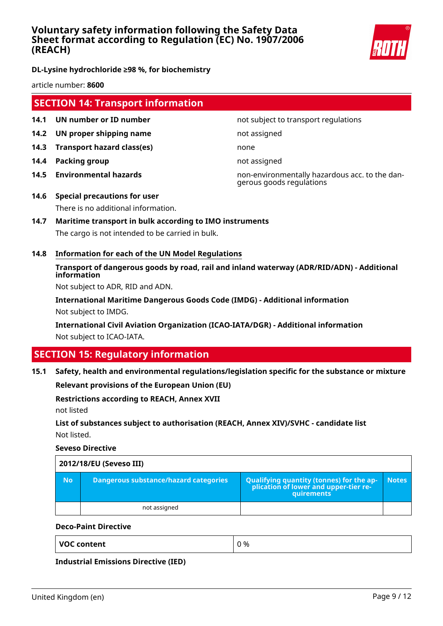

**DL-Lysine hydrochloride ≥98 %, for biochemistry**

article number: **8600**

# **SECTION 14: Transport information**

- **14.1 UN number or ID number not subject to transport regulations**
- **14.2 UN proper shipping name** not assigned
- **14.3 Transport hazard class(es)** none
- **14.4 Packing group not assigned**
- 

**14.5 Environmental hazards** non-environmentally hazardous acc. to the dangerous goods regulations

- **14.6 Special precautions for user** There is no additional information.
- **14.7 Maritime transport in bulk according to IMO instruments** The cargo is not intended to be carried in bulk.
- **14.8 Information for each of the UN Model Regulations**

## **Transport of dangerous goods by road, rail and inland waterway (ADR/RID/ADN) - Additional information**

Not subject to ADR, RID and ADN.

**International Maritime Dangerous Goods Code (IMDG) - Additional information** Not subject to IMDG.

**International Civil Aviation Organization (ICAO-IATA/DGR) - Additional information** Not subject to ICAO-IATA.

# **SECTION 15: Regulatory information**

### **15.1 Safety, health and environmental regulations/legislation specific for the substance or mixture**

**Relevant provisions of the European Union (EU)**

### **Restrictions according to REACH, Annex XVII**

not listed

### **List of substances subject to authorisation (REACH, Annex XIV)/SVHC - candidate list** Not listed.

**Seveso Directive**

| 2012/18/EU (Seveso III) |                                       |                                                                                            |              |  |  |
|-------------------------|---------------------------------------|--------------------------------------------------------------------------------------------|--------------|--|--|
| <b>No</b>               | Dangerous substance/hazard categories | Qualifying quantity (tonnes) for the application of lower and upper-tier re-<br>quirements | <b>Notes</b> |  |  |
|                         | not assigned                          |                                                                                            |              |  |  |

### **Deco-Paint Directive**

**Industrial Emissions Directive (IED)**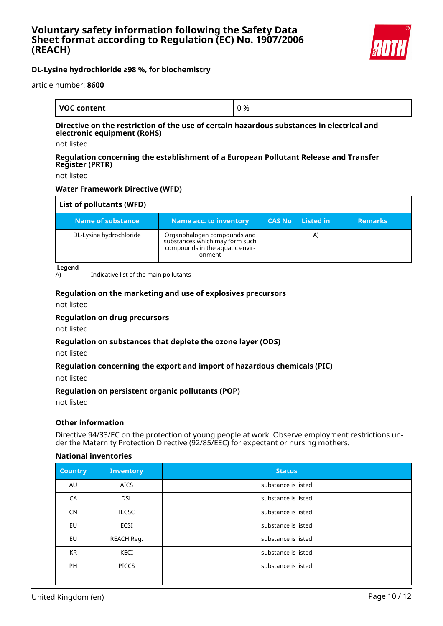

### **DL-Lysine hydrochloride ≥98 %, for biochemistry**

article number: **8600**

| <b>VOC content</b> | %<br><b>.</b><br>v |
|--------------------|--------------------|

### **Directive on the restriction of the use of certain hazardous substances in electrical and electronic equipment (RoHS)**

not listed

### **Regulation concerning the establishment of a European Pollutant Release and Transfer Register (PRTR)**

not listed

### **Water Framework Directive (WFD)**

| List of pollutants (WFD) |                                                                                                            |               |           |                |
|--------------------------|------------------------------------------------------------------------------------------------------------|---------------|-----------|----------------|
| Name of substance        | <b>Name acc. to inventory</b>                                                                              | <b>CAS No</b> | Listed in | <b>Remarks</b> |
| DL-Lysine hydrochloride  | Organohalogen compounds and<br>substances which may form such<br>compounds in the aquatic envir-<br>onment |               | A)        |                |

**Legend**

A) Indicative list of the main pollutants

### **Regulation on the marketing and use of explosives precursors**

not listed

### **Regulation on drug precursors**

not listed

### **Regulation on substances that deplete the ozone layer (ODS)**

not listed

### **Regulation concerning the export and import of hazardous chemicals (PIC)**

not listed

### **Regulation on persistent organic pollutants (POP)**

not listed

### **Other information**

Directive 94/33/EC on the protection of young people at work. Observe employment restrictions under the Maternity Protection Directive (92/85/EEC) for expectant or nursing mothers.

### **National inventories**

| <b>Country</b> | <b>Inventory</b> | <b>Status</b>       |
|----------------|------------------|---------------------|
| AU             | <b>AICS</b>      | substance is listed |
| CA             | <b>DSL</b>       | substance is listed |
| <b>CN</b>      | <b>IECSC</b>     | substance is listed |
| EU             | <b>ECSI</b>      | substance is listed |
| EU             | REACH Reg.       | substance is listed |
| <b>KR</b>      | KECI             | substance is listed |
| <b>PH</b>      | <b>PICCS</b>     | substance is listed |
|                |                  |                     |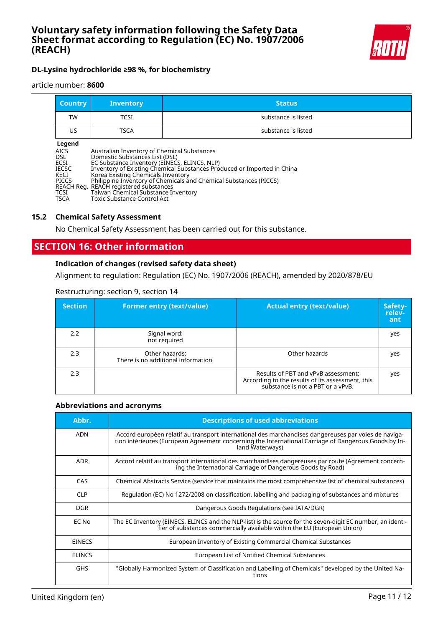

# **DL-Lysine hydrochloride ≥98 %, for biochemistry**

#### article number: **8600**

| <b>Country</b> | <b>Inventory</b> | <b>Status</b>       |
|----------------|------------------|---------------------|
| TW             | TCSI             | substance is listed |
| US             | <b>TSCA</b>      | substance is listed |

#### **Legend**

| <b>Legena</b> |                                                                         |
|---------------|-------------------------------------------------------------------------|
| <b>AICS</b>   | Australian Inventory of Chemical Substances                             |
| <b>DSL</b>    | Domestic Substances List (DSL)                                          |
| ECSI          | EC Substance Inventory (EINECS, ELINCS, NLP)                            |
| <b>IECSC</b>  | Inventory of Existing Chemical Substances Produced or Imported in China |
| KECI          | Korea Existing Chemicals Inventory                                      |
| <b>PICCS</b>  | Philippine Inventory of Chemicals and Chemical Substances (PICCS)       |
|               | REACH Reg. REACH registered substances                                  |
| TCSI          | Taiwan Chemical Substance Inventory                                     |
| <b>TSCA</b>   | Toxic Substance Control Act                                             |
|               |                                                                         |

#### **15.2 Chemical Safety Assessment**

No Chemical Safety Assessment has been carried out for this substance.

# **SECTION 16: Other information**

### **Indication of changes (revised safety data sheet)**

Alignment to regulation: Regulation (EC) No. 1907/2006 (REACH), amended by 2020/878/EU

| <b>Section</b> | <b>Former entry (text/value)</b>                      | <b>Actual entry (text/value)</b>                                                                                             | Safety-<br>relev-<br>ant |
|----------------|-------------------------------------------------------|------------------------------------------------------------------------------------------------------------------------------|--------------------------|
| 2.2            | Signal word:<br>not required                          |                                                                                                                              | yes                      |
| 2.3            | Other hazards:<br>There is no additional information. | Other hazards                                                                                                                | yes                      |
| 2.3            |                                                       | Results of PBT and vPvB assessment:<br>According to the results of its assessment, this<br>substance is not a PBT or a vPvB. | yes                      |

### Restructuring: section 9, section 14

### **Abbreviations and acronyms**

| Abbr.         | <b>Descriptions of used abbreviations</b>                                                                                                                                                                                       |
|---------------|---------------------------------------------------------------------------------------------------------------------------------------------------------------------------------------------------------------------------------|
| <b>ADN</b>    | Accord européen relatif au transport international des marchandises dangereuses par voies de naviga-<br>tion intérieures (European Agreement concerning the International Carriage of Dangerous Goods by In-<br>land Waterways) |
| <b>ADR</b>    | Accord relatif au transport international des marchandises dangereuses par route (Agreement concern-<br>ing the International Carriage of Dangerous Goods by Road)                                                              |
| CAS           | Chemical Abstracts Service (service that maintains the most comprehensive list of chemical substances)                                                                                                                          |
| <b>CLP</b>    | Regulation (EC) No 1272/2008 on classification, labelling and packaging of substances and mixtures                                                                                                                              |
| <b>DGR</b>    | Dangerous Goods Regulations (see IATA/DGR)                                                                                                                                                                                      |
| EC No         | The EC Inventory (EINECS, ELINCS and the NLP-list) is the source for the seven-digit EC number, an identi-<br>fier of substances commercially available within the EU (European Union)                                          |
| <b>EINECS</b> | European Inventory of Existing Commercial Chemical Substances                                                                                                                                                                   |
| <b>ELINCS</b> | European List of Notified Chemical Substances                                                                                                                                                                                   |
| <b>GHS</b>    | "Globally Harmonized System of Classification and Labelling of Chemicals" developed by the United Na-<br>tions                                                                                                                  |